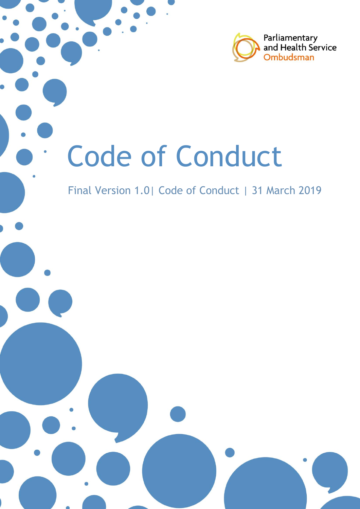

# Code of Conduct

# Final Version 1.0| Code of Conduct | 31 March 2019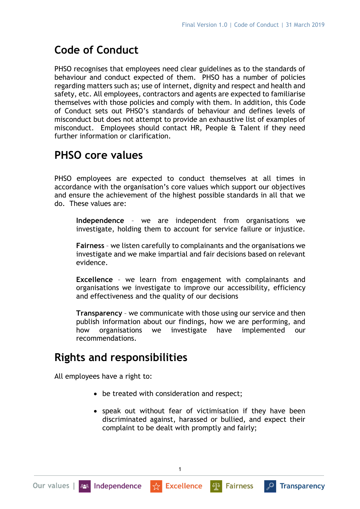# **Code of Conduct**

PHSO recognises that employees need clear guidelines as to the standards of behaviour and conduct expected of them. PHSO has a number of policies regarding matters such as; use of internet, dignity and respect and health and safety, etc. All employees, contractors and agents are expected to familiarise themselves with those policies and comply with them. In addition, this Code of Conduct sets out PHSO's standards of behaviour and defines levels of misconduct but does not attempt to provide an exhaustive list of examples of misconduct. Employees should contact HR, People & Talent if they need further information or clarification.

## **PHSO core values**

PHSO employees are expected to conduct themselves at all times in accordance with the organisation's core values which support our objectives and ensure the achievement of the highest possible standards in all that we do. These values are:

**Independence** – we are independent from organisations we investigate, holding them to account for service failure or injustice.

**Fairness** – we listen carefully to complainants and the organisations we investigate and we make impartial and fair decisions based on relevant evidence.

**Excellence** – we learn from engagement with complainants and organisations we investigate to improve our accessibility, efficiency and effectiveness and the quality of our decisions

**Transparency** – we communicate with those using our service and then publish information about our findings, how we are performing, and how organisations we investigate have implemented our recommendations.

## **Rights and responsibilities**

All employees have a right to:

- be treated with consideration and respect;
- speak out without fear of victimisation if they have been discriminated against, harassed or bullied, and expect their complaint to be dealt with promptly and fairly;

1

 $\mathbb{E}[\mathbb{E}^d]$ 

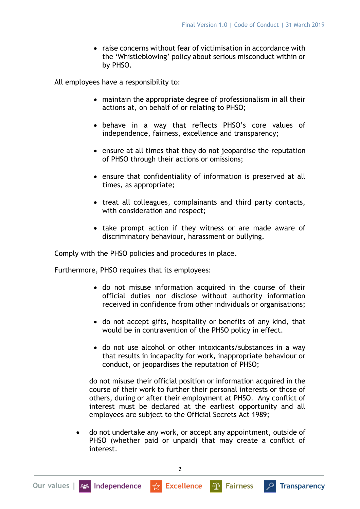• raise concerns without fear of victimisation in accordance with the 'Whistleblowing' policy about serious misconduct within or by PHSO.

All employees have a responsibility to:

- maintain the appropriate degree of professionalism in all their actions at, on behalf of or relating to PHSO;
- behave in a way that reflects PHSO's core values of independence, fairness, excellence and transparency;
- ensure at all times that they do not jeopardise the reputation of PHSO through their actions or omissions;
- ensure that confidentiality of information is preserved at all times, as appropriate;
- treat all colleagues, complainants and third party contacts, with consideration and respect;
- take prompt action if they witness or are made aware of discriminatory behaviour, harassment or bullying.

Comply with the PHSO policies and procedures in place.

Furthermore, PHSO requires that its employees:

- do not misuse information acquired in the course of their official duties nor disclose without authority information received in confidence from other individuals or organisations;
- do not accept gifts, hospitality or benefits of any kind, that would be in contravention of the PHSO policy in effect.
- do not use alcohol or other intoxicants/substances in a way that results in incapacity for work, inappropriate behaviour or conduct, or jeopardises the reputation of PHSO;

do not misuse their official position or information acquired in the course of their work to further their personal interests or those of others, during or after their employment at PHSO. Any conflict of interest must be declared at the earliest opportunity and all employees are subject to the Official Secrets Act 1989;

• do not undertake any work, or accept any appointment, outside of PHSO (whether paid or unpaid) that may create a conflict of interest.

 $\frac{1}{22}$  Excellence

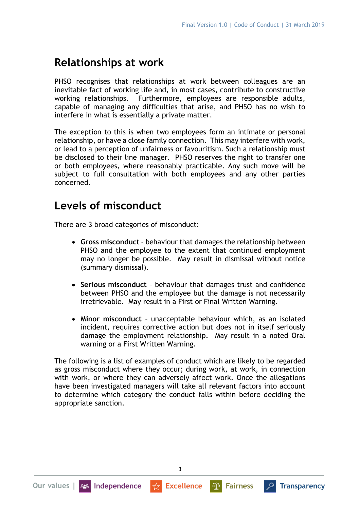#### **Relationships at work**

PHSO recognises that relationships at work between colleagues are an inevitable fact of working life and, in most cases, contribute to constructive working relationships. Furthermore, employees are responsible adults, capable of managing any difficulties that arise, and PHSO has no wish to interfere in what is essentially a private matter.

The exception to this is when two employees form an intimate or personal relationship, or have a close family connection. This may interfere with work, or lead to a perception of unfairness or favouritism. Such a relationship must be disclosed to their line manager. PHSO reserves the right to transfer one or both employees, where reasonably practicable. Any such move will be subject to full consultation with both employees and any other parties concerned.

#### **Levels of misconduct**

There are 3 broad categories of misconduct:

- **Gross misconduct** behaviour that damages the relationship between PHSO and the employee to the extent that continued employment may no longer be possible. May result in dismissal without notice (summary dismissal).
- **Serious misconduct** behaviour that damages trust and confidence between PHSO and the employee but the damage is not necessarily irretrievable. May result in a First or Final Written Warning.
- **Minor misconduct** unacceptable behaviour which, as an isolated incident, requires corrective action but does not in itself seriously damage the employment relationship. May result in a noted Oral warning or a First Written Warning.

The following is a list of examples of conduct which are likely to be regarded as gross misconduct where they occur; during work, at work, in connection with work, or where they can adversely affect work. Once the allegations have been investigated managers will take all relevant factors into account to determine which category the conduct falls within before deciding the appropriate sanction.

 $\frac{1}{\sqrt{2}}$  Excellence

**Al<sup>a</sup>** Fairness

3

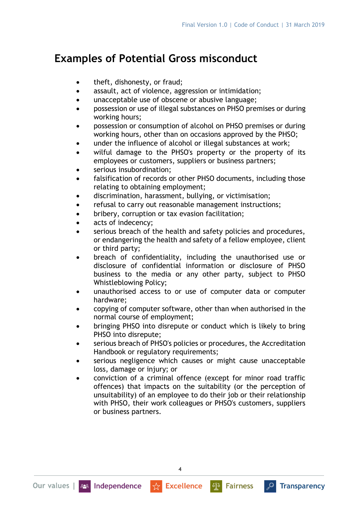## **Examples of Potential Gross misconduct**

- theft, dishonesty, or fraud;
- assault, act of violence, aggression or intimidation;
- unacceptable use of obscene or abusive language;
- possession or use of illegal substances on PHSO premises or during working hours;
- possession or consumption of alcohol on PHSO premises or during working hours, other than on occasions approved by the PHSO;
- under the influence of alcohol or illegal substances at work;
- wilful damage to the PHSO's property or the property of its employees or customers, suppliers or business partners;
- serious insubordination:
- falsification of records or other PHSO documents, including those relating to obtaining employment;
- discrimination, harassment, bullying, or victimisation;
- refusal to carry out reasonable management instructions;
- bribery, corruption or tax evasion facilitation;
- acts of indecency;
- serious breach of the health and safety policies and procedures, or endangering the health and safety of a fellow employee, client or third party;
- breach of confidentiality, including the unauthorised use or disclosure of confidential information or disclosure of PHSO business to the media or any other party, subject to PHSO Whistleblowing Policy;
- unauthorised access to or use of computer data or computer hardware;
- copying of computer software, other than when authorised in the normal course of employment;
- bringing PHSO into disrepute or conduct which is likely to bring PHSO into disrepute;
- serious breach of PHSO's policies or procedures, the Accreditation Handbook or regulatory requirements;
- serious negligence which causes or might cause unacceptable loss, damage or injury; or
- conviction of a criminal offence (except for minor road traffic offences) that impacts on the suitability (or the perception of unsuitability) of an employee to do their job or their relationship with PHSO, their work colleagues or PHSO's customers, suppliers or business partners.

4

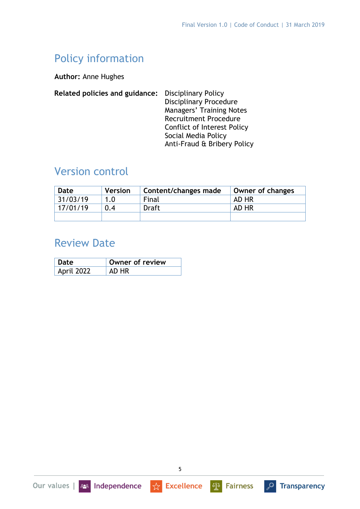# Policy information

**Author:** Anne Hughes

| Related policies and guidance: | <b>Disciplinary Policy</b>         |
|--------------------------------|------------------------------------|
|                                | <b>Disciplinary Procedure</b>      |
|                                | Managers' Training Notes           |
|                                | <b>Recruitment Procedure</b>       |
|                                | <b>Conflict of Interest Policy</b> |
|                                | Social Media Policy                |
|                                | Anti-Fraud & Bribery Policy        |
|                                |                                    |

## Version control

| Date     | <b>Version</b> | Content/changes made | Owner of changes |
|----------|----------------|----------------------|------------------|
| 31/03/19 | 1.0            | Final                | AD HR            |
| 17/01/19 | 0.4            | <b>Draft</b>         | AD HR            |
|          |                |                      |                  |

#### Review Date

Our values | 228 Independence

| Date       | Owner of review |
|------------|-----------------|
| April 2022 |                 |

 $\frac{1}{\sqrt{2}}$  Excellence

**4<sup>8</sup> Fairness** 

**P** Transparency